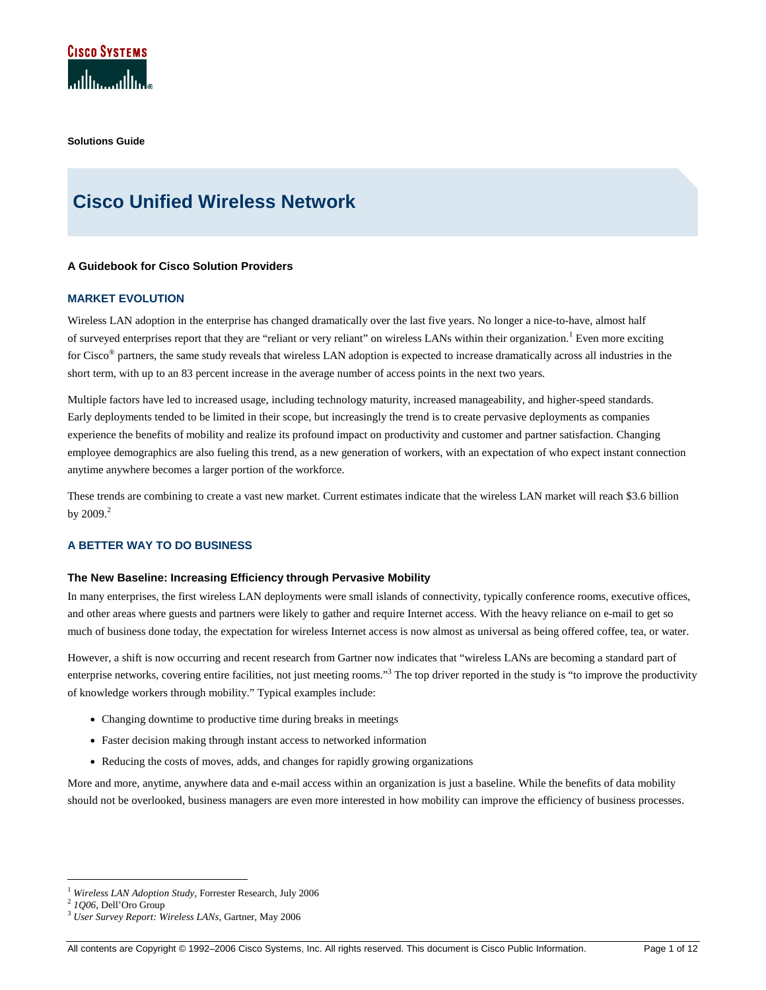

**Solutions Guide** 

# **Cisco Unified Wireless Network**

# **A Guidebook for Cisco Solution Providers**

# **MARKET EVOLUTION**

Wireless LAN adoption in the enterprise has changed dramatically over the last five years. No longer a nice-to-have, almost half of surveyed enterprises report that they are "reliant or very reliant" on wireless LANs within their organization.<sup>1</sup> Even more exciting for Cisco® partners, the same study reveals that wireless LAN adoption is expected to increase dramatically across all industries in the short term, with up to an 83 percent increase in the average number of access points in the next two years.

Multiple factors have led to increased usage, including technology maturity, increased manageability, and higher-speed standards. Early deployments tended to be limited in their scope, but increasingly the trend is to create pervasive deployments as companies experience the benefits of mobility and realize its profound impact on productivity and customer and partner satisfaction. Changing employee demographics are also fueling this trend, as a new generation of workers, with an expectation of who expect instant connection anytime anywhere becomes a larger portion of the workforce.

These trends are combining to create a vast new market. Current estimates indicate that the wireless LAN market will reach \$3.6 billion by  $2009.<sup>2</sup>$ 

# **A BETTER WAY TO DO BUSINESS**

#### **The New Baseline: Increasing Efficiency through Pervasive Mobility**

In many enterprises, the first wireless LAN deployments were small islands of connectivity, typically conference rooms, executive offices, and other areas where guests and partners were likely to gather and require Internet access. With the heavy reliance on e-mail to get so much of business done today, the expectation for wireless Internet access is now almost as universal as being offered coffee, tea, or water.

However, a shift is now occurring and recent research from Gartner now indicates that "wireless LANs are becoming a standard part of enterprise networks, covering entire facilities, not just meeting rooms."<sup>3</sup> The top driver reported in the study is "to improve the productivity of knowledge workers through mobility." Typical examples include:

- Changing downtime to productive time during breaks in meetings
- Faster decision making through instant access to networked information
- Reducing the costs of moves, adds, and changes for rapidly growing organizations

More and more, anytime, anywhere data and e-mail access within an organization is just a baseline. While the benefits of data mobility should not be overlooked, business managers are even more interested in how mobility can improve the efficiency of business processes.

-

<sup>1</sup> *Wireless LAN Adoption Study*, Forrester Research, July 2006

<sup>2</sup>  *1Q06*, Dell'Oro Group

<sup>3</sup> *User Survey Report: Wireless LANs*, Gartner, May 2006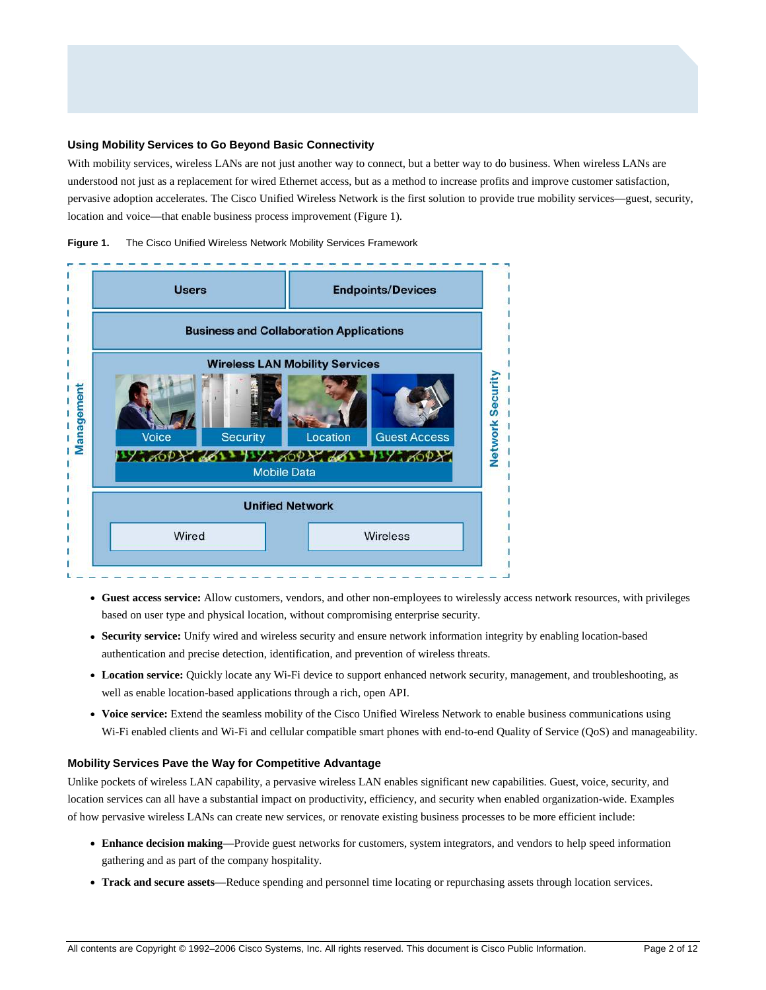#### **Using Mobility Services to Go Beyond Basic Connectivity**

With mobility services, wireless LANs are not just another way to connect, but a better way to do business. When wireless LANs are understood not just as a replacement for wired Ethernet access, but as a method to increase profits and improve customer satisfaction, pervasive adoption accelerates. The Cisco Unified Wireless Network is the first solution to provide true mobility services—guest, security, location and voice—that enable business process improvement (Figure 1).





- **Guest access service:** Allow customers, vendors, and other non-employees to wirelessly access network resources, with privileges based on user type and physical location, without compromising enterprise security.
- **Security service:** Unify wired and wireless security and ensure network information integrity by enabling location-based authentication and precise detection, identification, and prevention of wireless threats.
- **Location service:** Quickly locate any Wi-Fi device to support enhanced network security, management, and troubleshooting, as well as enable location-based applications through a rich, open API.
- **Voice service:** Extend the seamless mobility of the Cisco Unified Wireless Network to enable business communications using Wi-Fi enabled clients and Wi-Fi and cellular compatible smart phones with end-to-end Quality of Service (QoS) and manageability.

# **Mobility Services Pave the Way for Competitive Advantage**

Unlike pockets of wireless LAN capability, a pervasive wireless LAN enables significant new capabilities. Guest, voice, security, and location services can all have a substantial impact on productivity, efficiency, and security when enabled organization-wide. Examples of how pervasive wireless LANs can create new services, or renovate existing business processes to be more efficient include:

- **Enhance decision making**—Provide guest networks for customers, system integrators, and vendors to help speed information gathering and as part of the company hospitality.
- **Track and secure assets**—Reduce spending and personnel time locating or repurchasing assets through location services.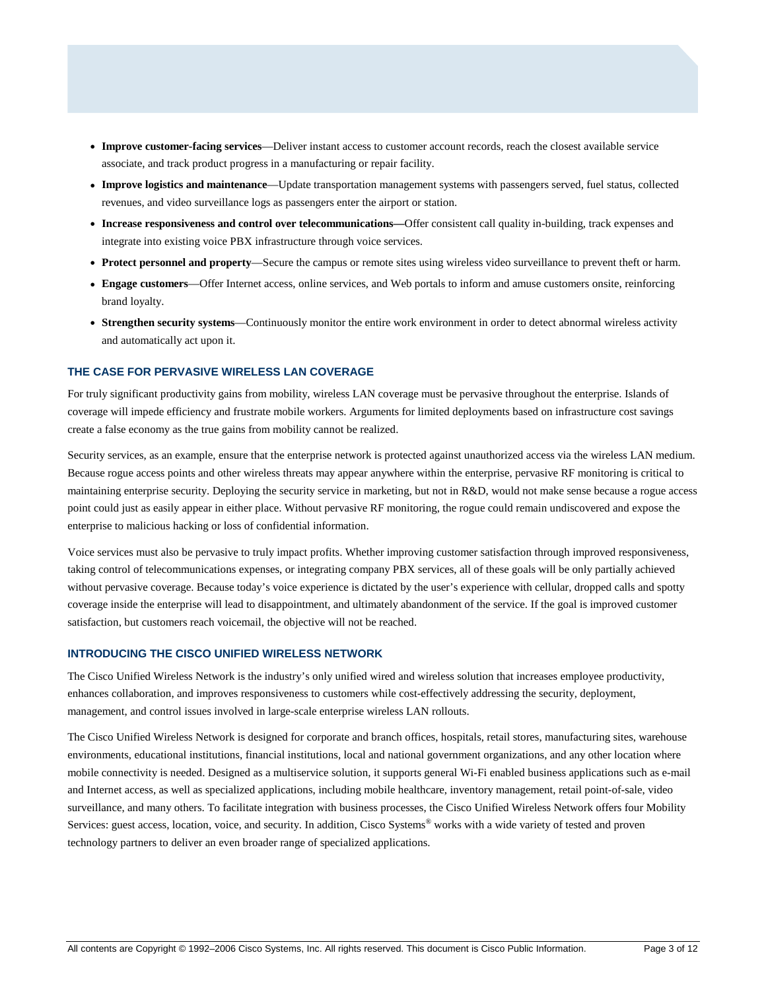- **Improve customer-facing services**—Deliver instant access to customer account records, reach the closest available service associate, and track product progress in a manufacturing or repair facility.
- **Improve logistics and maintenance**—Update transportation management systems with passengers served, fuel status, collected revenues, and video surveillance logs as passengers enter the airport or station.
- **Increase responsiveness and control over telecommunications—**Offer consistent call quality in-building, track expenses and integrate into existing voice PBX infrastructure through voice services.
- **Protect personnel and property**—Secure the campus or remote sites using wireless video surveillance to prevent theft or harm.
- **Engage customers**—Offer Internet access, online services, and Web portals to inform and amuse customers onsite, reinforcing brand loyalty.
- **Strengthen security systems**—Continuously monitor the entire work environment in order to detect abnormal wireless activity and automatically act upon it.

# **THE CASE FOR PERVASIVE WIRELESS LAN COVERAGE**

For truly significant productivity gains from mobility, wireless LAN coverage must be pervasive throughout the enterprise. Islands of coverage will impede efficiency and frustrate mobile workers. Arguments for limited deployments based on infrastructure cost savings create a false economy as the true gains from mobility cannot be realized.

Security services, as an example, ensure that the enterprise network is protected against unauthorized access via the wireless LAN medium. Because rogue access points and other wireless threats may appear anywhere within the enterprise, pervasive RF monitoring is critical to maintaining enterprise security. Deploying the security service in marketing, but not in R&D, would not make sense because a rogue access point could just as easily appear in either place. Without pervasive RF monitoring, the rogue could remain undiscovered and expose the enterprise to malicious hacking or loss of confidential information.

Voice services must also be pervasive to truly impact profits. Whether improving customer satisfaction through improved responsiveness, taking control of telecommunications expenses, or integrating company PBX services, all of these goals will be only partially achieved without pervasive coverage. Because today's voice experience is dictated by the user's experience with cellular, dropped calls and spotty coverage inside the enterprise will lead to disappointment, and ultimately abandonment of the service. If the goal is improved customer satisfaction, but customers reach voicemail, the objective will not be reached.

# **INTRODUCING THE CISCO UNIFIED WIRELESS NETWORK**

The Cisco Unified Wireless Network is the industry's only unified wired and wireless solution that increases employee productivity, enhances collaboration, and improves responsiveness to customers while cost-effectively addressing the security, deployment, management, and control issues involved in large-scale enterprise wireless LAN rollouts.

The Cisco Unified Wireless Network is designed for corporate and branch offices, hospitals, retail stores, manufacturing sites, warehouse environments, educational institutions, financial institutions, local and national government organizations, and any other location where mobile connectivity is needed. Designed as a multiservice solution, it supports general Wi-Fi enabled business applications such as e-mail and Internet access, as well as specialized applications, including mobile healthcare, inventory management, retail point-of-sale, video surveillance, and many others. To facilitate integration with business processes, the Cisco Unified Wireless Network offers four Mobility Services: guest access, location, voice, and security. In addition, Cisco Systems® works with a wide variety of tested and proven technology partners to deliver an even broader range of specialized applications.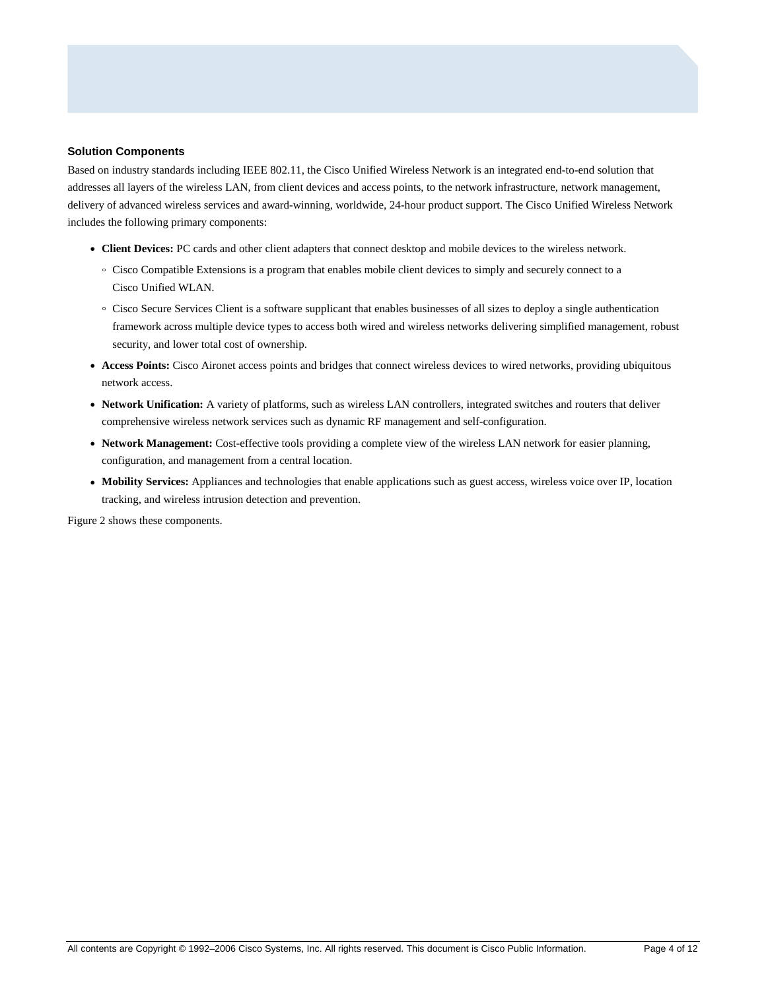## **Solution Components**

Based on industry standards including IEEE 802.11, the Cisco Unified Wireless Network is an integrated end-to-end solution that addresses all layers of the wireless LAN, from client devices and access points, to the network infrastructure, network management, delivery of advanced wireless services and award-winning, worldwide, 24-hour product support. The Cisco Unified Wireless Network includes the following primary components:

- **Client Devices:** PC cards and other client adapters that connect desktop and mobile devices to the wireless network.
	- Cisco Compatible Extensions is a program that enables mobile client devices to simply and securely connect to a Cisco Unified WLAN.
	- Cisco Secure Services Client is a software supplicant that enables businesses of all sizes to deploy a single authentication framework across multiple device types to access both wired and wireless networks delivering simplified management, robust security, and lower total cost of ownership.
- **Access Points:** Cisco Aironet access points and bridges that connect wireless devices to wired networks, providing ubiquitous network access.
- **Network Unification:** A variety of platforms, such as wireless LAN controllers, integrated switches and routers that deliver comprehensive wireless network services such as dynamic RF management and self-configuration.
- **Network Management:** Cost-effective tools providing a complete view of the wireless LAN network for easier planning, configuration, and management from a central location.
- Mobility Services: Appliances and technologies that enable applications such as guest access, wireless voice over IP, location tracking, and wireless intrusion detection and prevention.

Figure 2 shows these components.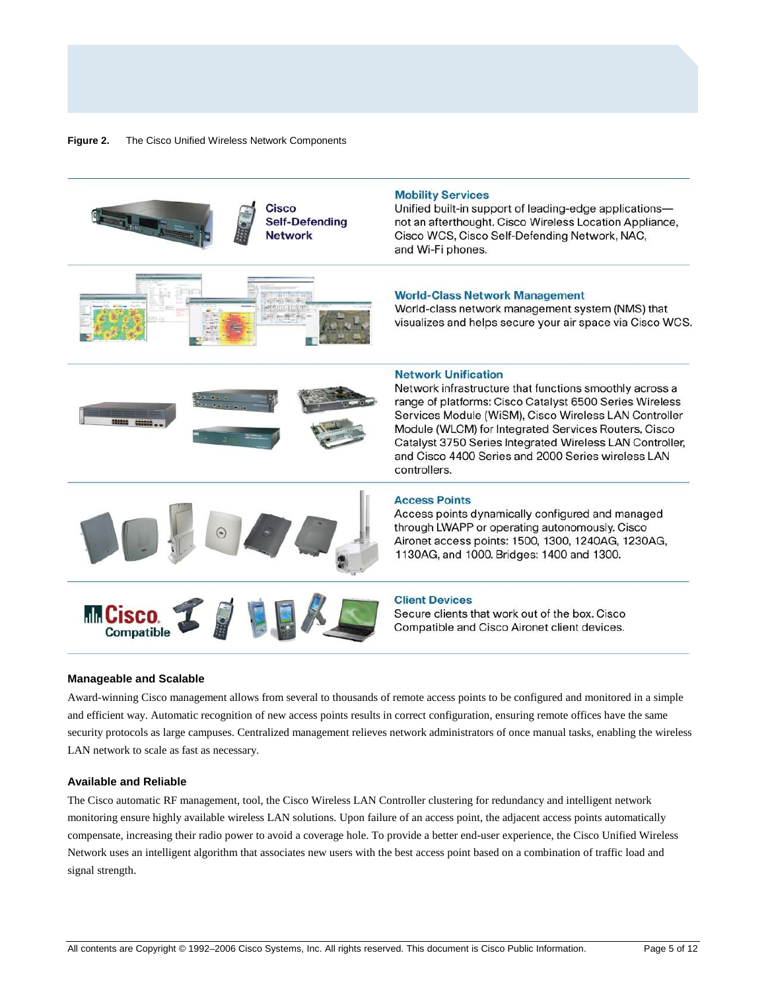



Award-winning Cisco management allows from several to thousands of remote access points to be configured and monitored in a simple and efficient way. Automatic recognition of new access points results in correct configuration, ensuring remote offices have the same security protocols as large campuses. Centralized management relieves network administrators of once manual tasks, enabling the wireless LAN network to scale as fast as necessary.

#### **Available and Reliable**

The Cisco automatic RF management, tool, the Cisco Wireless LAN Controller clustering for redundancy and intelligent network monitoring ensure highly available wireless LAN solutions. Upon failure of an access point, the adjacent access points automatically compensate, increasing their radio power to avoid a coverage hole. To provide a better end-user experience, the Cisco Unified Wireless Network uses an intelligent algorithm that associates new users with the best access point based on a combination of traffic load and signal strength.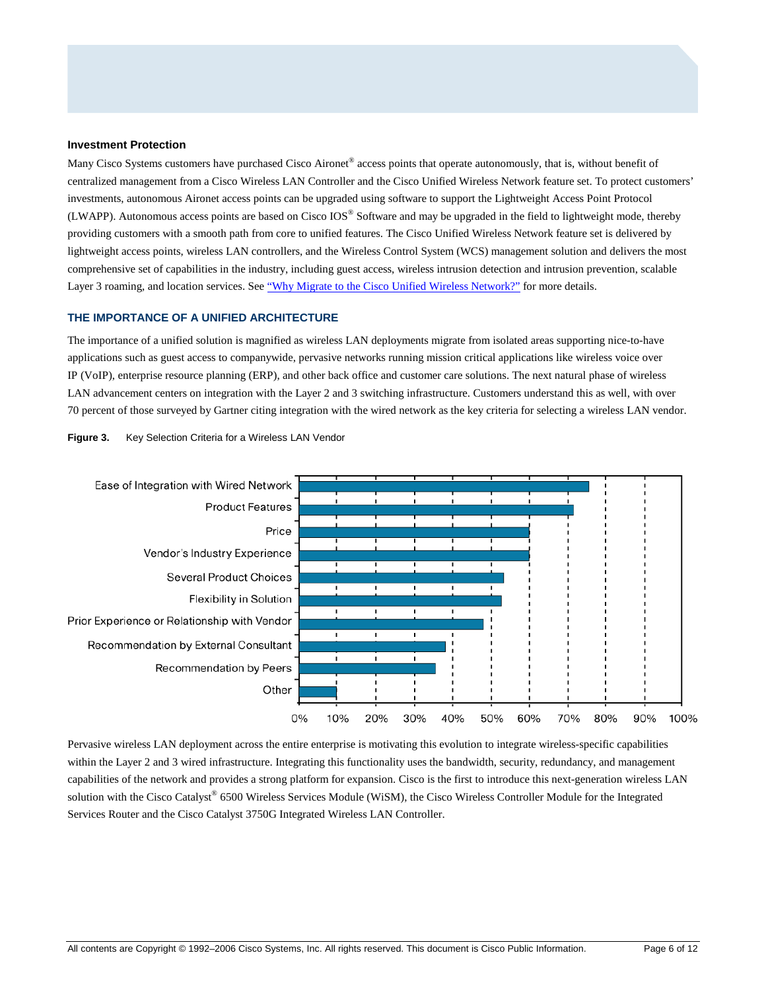#### **Investment Protection**

Many Cisco Systems customers have purchased Cisco Aironet® access points that operate autonomously, that is, without benefit of centralized management from a Cisco Wireless LAN Controller and the Cisco Unified Wireless Network feature set. To protect customers' investments, autonomous Aironet access points can be upgraded using software to support the Lightweight Access Point Protocol (LWAPP). Autonomous access points are based on Cisco IOS® Software and may be upgraded in the field to lightweight mode, thereby providing customers with a smooth path from core to unified features. The Cisco Unified Wireless Network feature set is delivered by lightweight access points, wireless LAN controllers, and the Wireless Control System (WCS) management solution and delivers the most comprehensive set of capabilities in the industry, including guest access, wireless intrusion detection and intrusion prevention, scalable Layer 3 roaming, and location services. See ["Why Migrate to the Cisco Unified Wireless Network?"](http://www.cisco.com/en/US/netsol/ns340/ns394/ns348/ns337/networking_solutions_white_paper0900aecd804f19e3.shtml) for more details.

# **THE IMPORTANCE OF A UNIFIED ARCHITECTURE**

The importance of a unified solution is magnified as wireless LAN deployments migrate from isolated areas supporting nice-to-have applications such as guest access to companywide, pervasive networks running mission critical applications like wireless voice over IP (VoIP), enterprise resource planning (ERP), and other back office and customer care solutions. The next natural phase of wireless LAN advancement centers on integration with the Layer 2 and 3 switching infrastructure. Customers understand this as well, with over 70 percent of those surveyed by Gartner citing integration with the wired network as the key criteria for selecting a wireless LAN vendor.





Pervasive wireless LAN deployment across the entire enterprise is motivating this evolution to integrate wireless-specific capabilities within the Layer 2 and 3 wired infrastructure. Integrating this functionality uses the bandwidth, security, redundancy, and management capabilities of the network and provides a strong platform for expansion. Cisco is the first to introduce this next-generation wireless LAN solution with the Cisco Catalyst® 6500 Wireless Services Module (WiSM), the Cisco Wireless Controller Module for the Integrated Services Router and the Cisco Catalyst 3750G Integrated Wireless LAN Controller.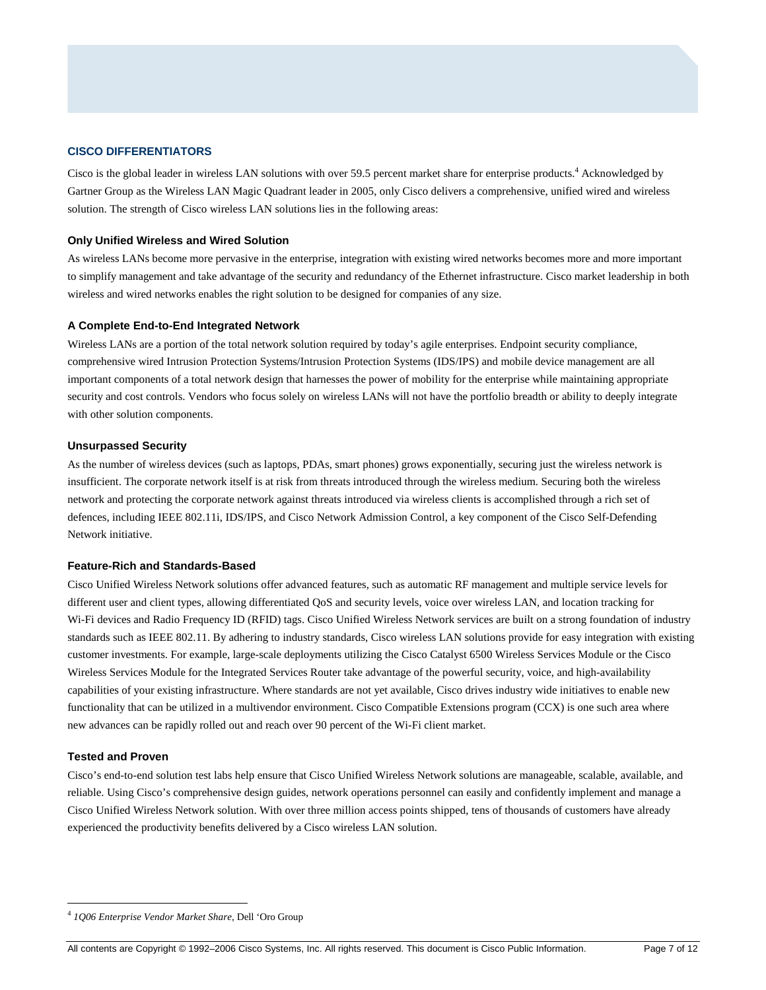# **CISCO DIFFERENTIATORS**

Cisco is the global leader in wireless LAN solutions with over 59.5 percent market share for enterprise products.<sup>4</sup> Acknowledged by Gartner Group as the Wireless LAN Magic Quadrant leader in 2005, only Cisco delivers a comprehensive, unified wired and wireless solution. The strength of Cisco wireless LAN solutions lies in the following areas:

# **Only Unified Wireless and Wired Solution**

As wireless LANs become more pervasive in the enterprise, integration with existing wired networks becomes more and more important to simplify management and take advantage of the security and redundancy of the Ethernet infrastructure. Cisco market leadership in both wireless and wired networks enables the right solution to be designed for companies of any size.

# **A Complete End-to-End Integrated Network**

Wireless LANs are a portion of the total network solution required by today's agile enterprises. Endpoint security compliance, comprehensive wired Intrusion Protection Systems/Intrusion Protection Systems (IDS/IPS) and mobile device management are all important components of a total network design that harnesses the power of mobility for the enterprise while maintaining appropriate security and cost controls. Vendors who focus solely on wireless LANs will not have the portfolio breadth or ability to deeply integrate with other solution components.

# **Unsurpassed Security**

As the number of wireless devices (such as laptops, PDAs, smart phones) grows exponentially, securing just the wireless network is insufficient. The corporate network itself is at risk from threats introduced through the wireless medium. Securing both the wireless network and protecting the corporate network against threats introduced via wireless clients is accomplished through a rich set of defences, including IEEE 802.11i, IDS/IPS, and Cisco Network Admission Control, a key component of the Cisco Self-Defending Network initiative.

# **Feature-Rich and Standards-Based**

Cisco Unified Wireless Network solutions offer advanced features, such as automatic RF management and multiple service levels for different user and client types, allowing differentiated QoS and security levels, voice over wireless LAN, and location tracking for Wi-Fi devices and Radio Frequency ID (RFID) tags. Cisco Unified Wireless Network services are built on a strong foundation of industry standards such as IEEE 802.11. By adhering to industry standards, Cisco wireless LAN solutions provide for easy integration with existing customer investments. For example, large-scale deployments utilizing the Cisco Catalyst 6500 Wireless Services Module or the Cisco Wireless Services Module for the Integrated Services Router take advantage of the powerful security, voice, and high-availability capabilities of your existing infrastructure. Where standards are not yet available, Cisco drives industry wide initiatives to enable new functionality that can be utilized in a multivendor environment. Cisco Compatible Extensions program (CCX) is one such area where new advances can be rapidly rolled out and reach over 90 percent of the Wi-Fi client market.

# **Tested and Proven**

-

Cisco's end-to-end solution test labs help ensure that Cisco Unified Wireless Network solutions are manageable, scalable, available, and reliable. Using Cisco's comprehensive design guides, network operations personnel can easily and confidently implement and manage a Cisco Unified Wireless Network solution. With over three million access points shipped, tens of thousands of customers have already experienced the productivity benefits delivered by a Cisco wireless LAN solution.

<sup>4</sup> *1Q06 Enterprise Vendor Market Share,* Dell 'Oro Group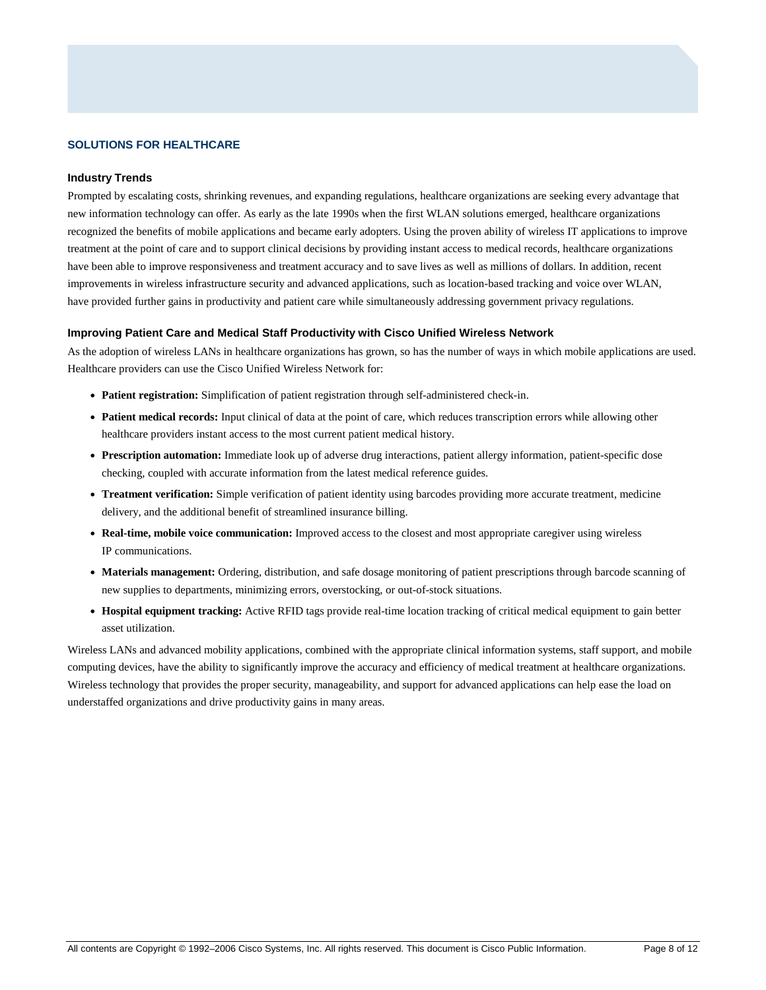# **SOLUTIONS FOR HEALTHCARE**

#### **Industry Trends**

Prompted by escalating costs, shrinking revenues, and expanding regulations, healthcare organizations are seeking every advantage that new information technology can offer. As early as the late 1990s when the first WLAN solutions emerged, healthcare organizations recognized the benefits of mobile applications and became early adopters. Using the proven ability of wireless IT applications to improve treatment at the point of care and to support clinical decisions by providing instant access to medical records, healthcare organizations have been able to improve responsiveness and treatment accuracy and to save lives as well as millions of dollars. In addition, recent improvements in wireless infrastructure security and advanced applications, such as location-based tracking and voice over WLAN, have provided further gains in productivity and patient care while simultaneously addressing government privacy regulations.

#### **Improving Patient Care and Medical Staff Productivity with Cisco Unified Wireless Network**

As the adoption of wireless LANs in healthcare organizations has grown, so has the number of ways in which mobile applications are used. Healthcare providers can use the Cisco Unified Wireless Network for:

- **Patient registration:** Simplification of patient registration through self-administered check-in.
- **Patient medical records:** Input clinical of data at the point of care, which reduces transcription errors while allowing other healthcare providers instant access to the most current patient medical history.
- **Prescription automation:** Immediate look up of adverse drug interactions, patient allergy information, patient-specific dose checking, coupled with accurate information from the latest medical reference guides.
- **Treatment verification:** Simple verification of patient identity using barcodes providing more accurate treatment, medicine delivery, and the additional benefit of streamlined insurance billing.
- **Real-time, mobile voice communication:** Improved access to the closest and most appropriate caregiver using wireless IP communications.
- Materials management: Ordering, distribution, and safe dosage monitoring of patient prescriptions through barcode scanning of new supplies to departments, minimizing errors, overstocking, or out-of-stock situations.
- **Hospital equipment tracking:** Active RFID tags provide real-time location tracking of critical medical equipment to gain better asset utilization.

Wireless LANs and advanced mobility applications, combined with the appropriate clinical information systems, staff support, and mobile computing devices, have the ability to significantly improve the accuracy and efficiency of medical treatment at healthcare organizations. Wireless technology that provides the proper security, manageability, and support for advanced applications can help ease the load on understaffed organizations and drive productivity gains in many areas.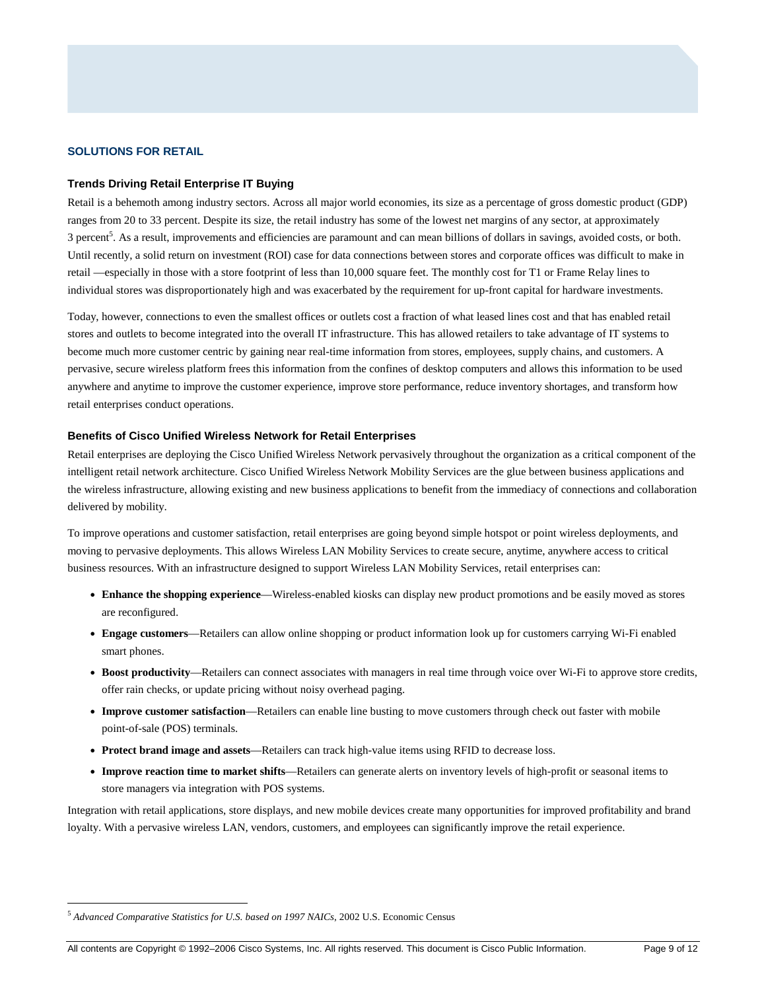## **SOLUTIONS FOR RETAIL**

#### **Trends Driving Retail Enterprise IT Buying**

Retail is a behemoth among industry sectors. Across all major world economies, its size as a percentage of gross domestic product (GDP) ranges from 20 to 33 percent. Despite its size, the retail industry has some of the lowest net margins of any sector, at approximately 3 percent<sup>5</sup>. As a result, improvements and efficiencies are paramount and can mean billions of dollars in savings, avoided costs, or both. Until recently, a solid return on investment (ROI) case for data connections between stores and corporate offices was difficult to make in retail —especially in those with a store footprint of less than 10,000 square feet. The monthly cost for T1 or Frame Relay lines to individual stores was disproportionately high and was exacerbated by the requirement for up-front capital for hardware investments.

Today, however, connections to even the smallest offices or outlets cost a fraction of what leased lines cost and that has enabled retail stores and outlets to become integrated into the overall IT infrastructure. This has allowed retailers to take advantage of IT systems to become much more customer centric by gaining near real-time information from stores, employees, supply chains, and customers. A pervasive, secure wireless platform frees this information from the confines of desktop computers and allows this information to be used anywhere and anytime to improve the customer experience, improve store performance, reduce inventory shortages, and transform how retail enterprises conduct operations.

#### **Benefits of Cisco Unified Wireless Network for Retail Enterprises**

Retail enterprises are deploying the Cisco Unified Wireless Network pervasively throughout the organization as a critical component of the intelligent retail network architecture. Cisco Unified Wireless Network Mobility Services are the glue between business applications and the wireless infrastructure, allowing existing and new business applications to benefit from the immediacy of connections and collaboration delivered by mobility.

To improve operations and customer satisfaction, retail enterprises are going beyond simple hotspot or point wireless deployments, and moving to pervasive deployments. This allows Wireless LAN Mobility Services to create secure, anytime, anywhere access to critical business resources. With an infrastructure designed to support Wireless LAN Mobility Services, retail enterprises can:

- **Enhance the shopping experience**—Wireless-enabled kiosks can display new product promotions and be easily moved as stores are reconfigured.
- **Engage customers**—Retailers can allow online shopping or product information look up for customers carrying Wi-Fi enabled smart phones.
- **Boost productivity**—Retailers can connect associates with managers in real time through voice over Wi-Fi to approve store credits, offer rain checks, or update pricing without noisy overhead paging.
- **Improve customer satisfaction**—Retailers can enable line busting to move customers through check out faster with mobile point-of-sale (POS) terminals.
- **Protect brand image and assets**—Retailers can track high-value items using RFID to decrease loss.
- **Improve reaction time to market shifts**—Retailers can generate alerts on inventory levels of high-profit or seasonal items to store managers via integration with POS systems.

Integration with retail applications, store displays, and new mobile devices create many opportunities for improved profitability and brand loyalty. With a pervasive wireless LAN, vendors, customers, and employees can significantly improve the retail experience.

<sup>-</sup><sup>5</sup> *Advanced Comparative Statistics for U.S. based on 1997 NAICs*, 2002 U.S. Economic Census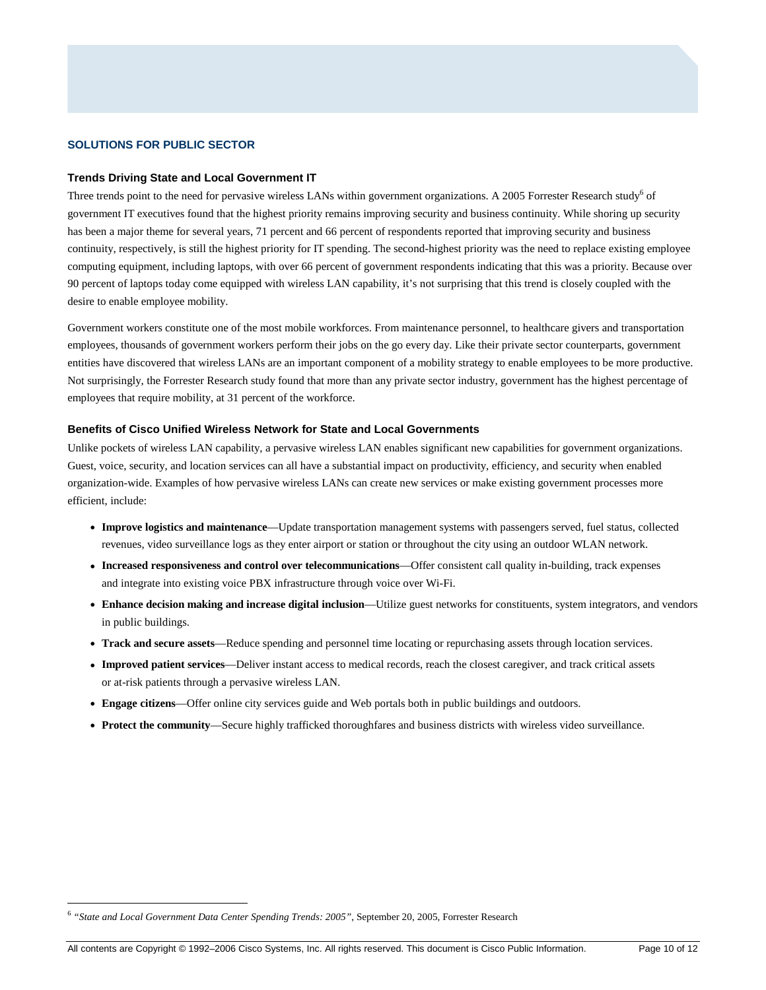## **SOLUTIONS FOR PUBLIC SECTOR**

#### **Trends Driving State and Local Government IT**

Three trends point to the need for pervasive wireless LANs within government organizations. A 2005 Forrester Research study<sup>6</sup> of government IT executives found that the highest priority remains improving security and business continuity. While shoring up security has been a major theme for several years, 71 percent and 66 percent of respondents reported that improving security and business continuity, respectively, is still the highest priority for IT spending. The second-highest priority was the need to replace existing employee computing equipment, including laptops, with over 66 percent of government respondents indicating that this was a priority. Because over 90 percent of laptops today come equipped with wireless LAN capability, it's not surprising that this trend is closely coupled with the desire to enable employee mobility.

Government workers constitute one of the most mobile workforces. From maintenance personnel, to healthcare givers and transportation employees, thousands of government workers perform their jobs on the go every day. Like their private sector counterparts, government entities have discovered that wireless LANs are an important component of a mobility strategy to enable employees to be more productive. Not surprisingly, the Forrester Research study found that more than any private sector industry, government has the highest percentage of employees that require mobility, at 31 percent of the workforce.

#### **Benefits of Cisco Unified Wireless Network for State and Local Governments**

Unlike pockets of wireless LAN capability, a pervasive wireless LAN enables significant new capabilities for government organizations. Guest, voice, security, and location services can all have a substantial impact on productivity, efficiency, and security when enabled organization-wide. Examples of how pervasive wireless LANs can create new services or make existing government processes more efficient, include:

- **Improve logistics and maintenance**—Update transportation management systems with passengers served, fuel status, collected revenues, video surveillance logs as they enter airport or station or throughout the city using an outdoor WLAN network.
- **Increased responsiveness and control over telecommunications**—Offer consistent call quality in-building, track expenses and integrate into existing voice PBX infrastructure through voice over Wi-Fi.
- **Enhance decision making and increase digital inclusion**—Utilize guest networks for constituents, system integrators, and vendors in public buildings.
- **Track and secure assets**—Reduce spending and personnel time locating or repurchasing assets through location services.
- **Improved patient services**—Deliver instant access to medical records, reach the closest caregiver, and track critical assets or at-risk patients through a pervasive wireless LAN.
- **Engage citizens**—Offer online city services guide and Web portals both in public buildings and outdoors.
- **Protect the community**—Secure highly trafficked thoroughfares and business districts with wireless video surveillance.

 $\overline{a}$ 

<sup>6</sup> *"State and Local Government Data Center Spending Trends: 2005"*, September 20, 2005, Forrester Research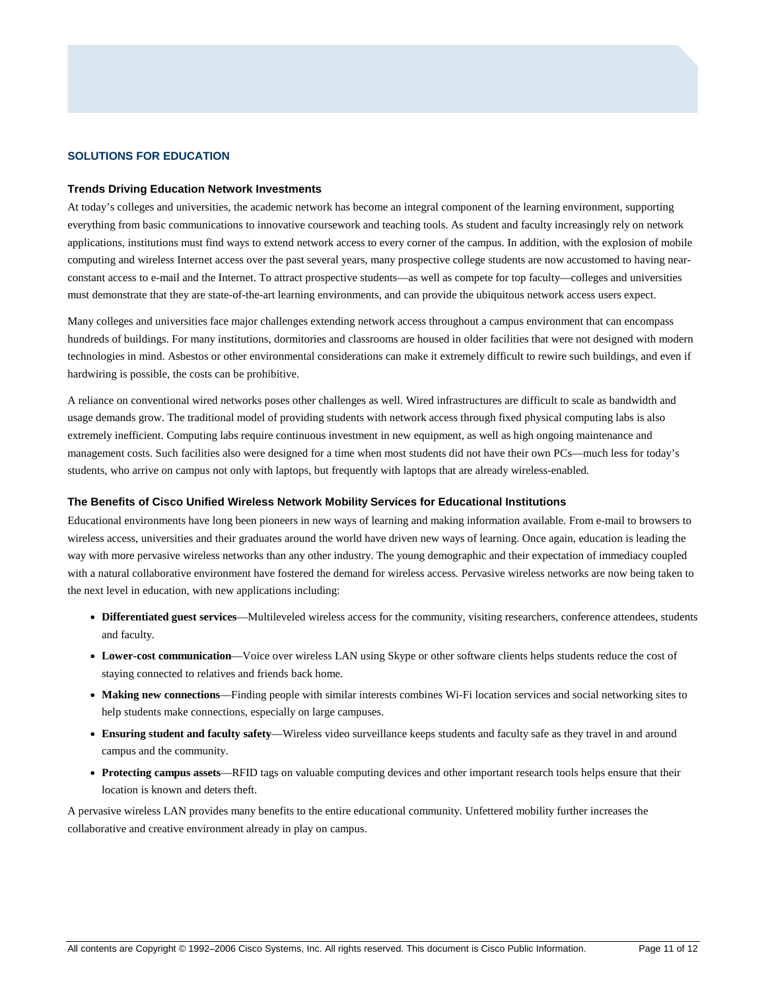#### **SOLUTIONS FOR EDUCATION**

#### **Trends Driving Education Network Investments**

At today's colleges and universities, the academic network has become an integral component of the learning environment, supporting everything from basic communications to innovative coursework and teaching tools. As student and faculty increasingly rely on network applications, institutions must find ways to extend network access to every corner of the campus. In addition, with the explosion of mobile computing and wireless Internet access over the past several years, many prospective college students are now accustomed to having nearconstant access to e-mail and the Internet. To attract prospective students—as well as compete for top faculty—colleges and universities must demonstrate that they are state-of-the-art learning environments, and can provide the ubiquitous network access users expect.

Many colleges and universities face major challenges extending network access throughout a campus environment that can encompass hundreds of buildings. For many institutions, dormitories and classrooms are housed in older facilities that were not designed with modern technologies in mind. Asbestos or other environmental considerations can make it extremely difficult to rewire such buildings, and even if hardwiring is possible, the costs can be prohibitive.

A reliance on conventional wired networks poses other challenges as well. Wired infrastructures are difficult to scale as bandwidth and usage demands grow. The traditional model of providing students with network access through fixed physical computing labs is also extremely inefficient. Computing labs require continuous investment in new equipment, as well as high ongoing maintenance and management costs. Such facilities also were designed for a time when most students did not have their own PCs—much less for today's students, who arrive on campus not only with laptops, but frequently with laptops that are already wireless-enabled.

#### **The Benefits of Cisco Unified Wireless Network Mobility Services for Educational Institutions**

Educational environments have long been pioneers in new ways of learning and making information available. From e-mail to browsers to wireless access, universities and their graduates around the world have driven new ways of learning. Once again, education is leading the way with more pervasive wireless networks than any other industry. The young demographic and their expectation of immediacy coupled with a natural collaborative environment have fostered the demand for wireless access. Pervasive wireless networks are now being taken to the next level in education, with new applications including:

- **Differentiated guest services**—Multileveled wireless access for the community, visiting researchers, conference attendees, students and faculty.
- Lower-cost communication—Voice over wireless LAN using Skype or other software clients helps students reduce the cost of staying connected to relatives and friends back home.
- **Making new connections**—Finding people with similar interests combines Wi-Fi location services and social networking sites to help students make connections, especially on large campuses.
- **Ensuring student and faculty safety**—Wireless video surveillance keeps students and faculty safe as they travel in and around campus and the community.
- **Protecting campus assets**—RFID tags on valuable computing devices and other important research tools helps ensure that their location is known and deters theft.

A pervasive wireless LAN provides many benefits to the entire educational community. Unfettered mobility further increases the collaborative and creative environment already in play on campus.